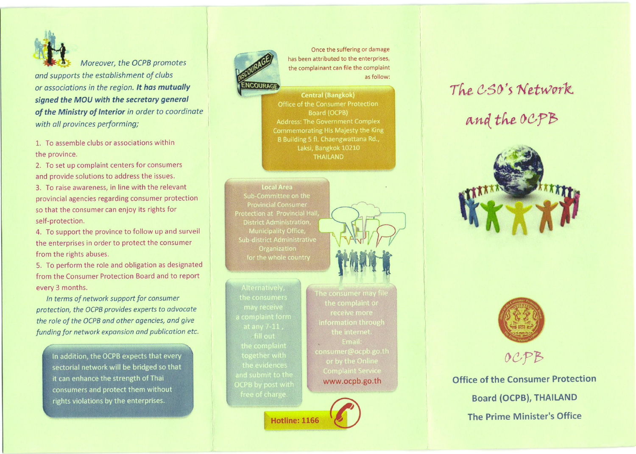

Moreover, the OCPB promotes and supports the estoblishment of clubs or ossociations in the region. lt has mutually signed the MOU with the secretary general of the Ministry of Interior in order to coordinate with all provinces performing;

1. To assemble clubs or associations within the orovince.

2. To set up complaint centers for consumers and provide solutions to address the issues.

3. To raise awareness, in line with the relevant provincial agencies regarding consumer protection so that the consumer can enjoy its rights for self-protection.

4. To support the province to follow up and surveil the enterprises in order to protect the consumer from the rights abuses.

5. To perform the role and obligation as designated from the Consumer Protection Board and to report every 3 months.

ln terms of netwotk support for consumer protection, the OCPB provides experts to odvocote the role of the OCPB and other agencies, and give funding for network expansion and publication etc.

In addition, the OCPB expects that every sectorial network will be bridged so that it can enhance the strength of Thai consumers and protect them without rights violations by the enterprises.



Once the suffering or damage has been attributed to the enterprises, the complainant can file the complaint as follow:

**Central (Bangkok)** Office of the Consumer Protection Board (OCPB) **Address: The Government Complex** Commemorating His Majesty the King B Building 5 fl. Chaengwattana Rd., Laksi, Bangkok 10210 **THAILAND** 

**Local Area** Sub-Committee on the **Provincial Consumer Protection at Provincial Hall District Administration.** Municipality Office, **Sub-district Administrative** Organization for the whole country

fill out and submit to the

**Hotline: 1166** 

information through **Email:** consumer@ocpb.go.th or by the Online www.ocpb.go.th

## The CSO's Network and the OCPB







Office of the Consumer Protection Board (OCPB), THAILAND The Prime Minister's Office